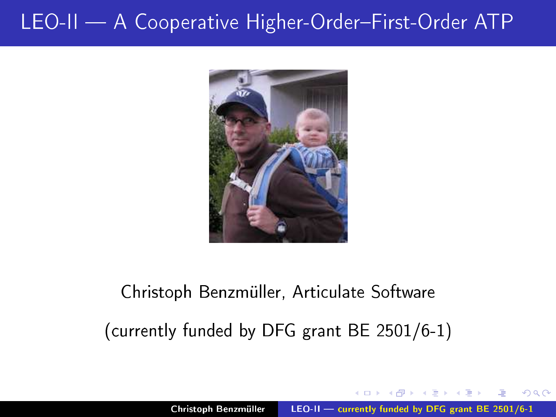

# Christoph Benzmüller, Articulate Software (
urrently funded by DFG grant BE 2501/6-1)

<span id="page-0-0"></span> $\Omega$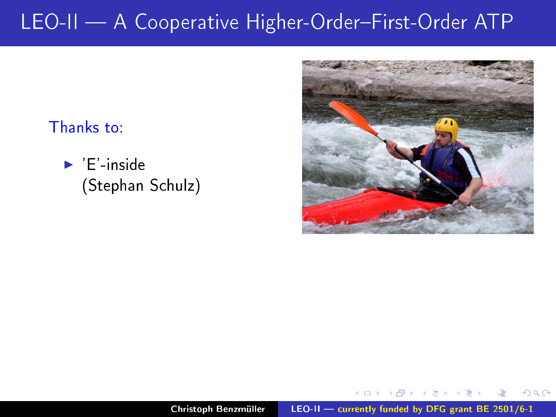#### Thanks to:

 $\blacktriangleright$  'E' inside (Stephan S
hulz)



 $2Q$ 

 $-1$   $-1$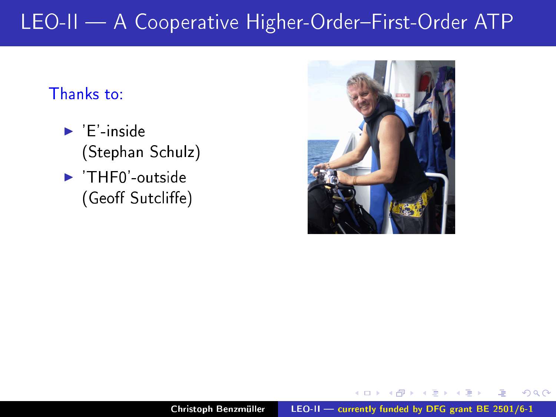#### Thanks to:

- $\blacktriangleright$  'E' inside (Stephan S
hulz)
- $\blacktriangleright$  'THF0'-outside (Geoff Sutcliffe)



 $2Q$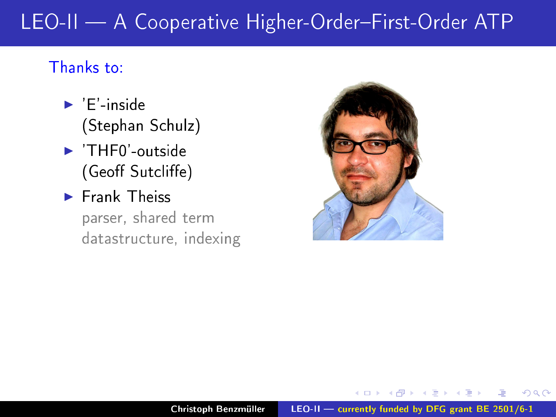#### Thanks to:

- $\blacktriangleright$  'E'-inside (Stephan S
hulz)
- $\blacktriangleright$  'THF0'-outside (Geoff Sutcliffe)
- Frank Theiss

parser, shared term datastru
ture, indexing



 $\Omega$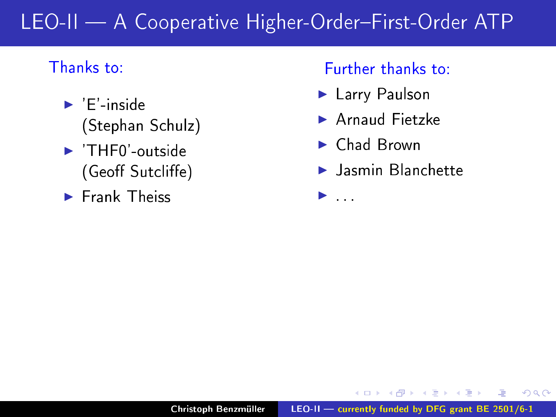#### LEO-II - A Cooperative Higher-Order-First-Order ATP LEO-II A Cooperative Higher-OrderFirst-Order ATP

### Thanks to:

- $\blacktriangleright$  'E'-inside (Stephan S
hulz)
- $\blacktriangleright$  'THF0'-outside (Geoff Sutcliffe)
- Frank Theiss

#### Further thanks to:

- ► Larry Paulson Larry Paulson
- ▶ Arnaud Fietzke
- ► Chad Brown

◮

▶ Jasmin Blanchette

 $2Q$ 

 $\rightarrow$   $\equiv$   $\rightarrow$ 

Christoph Benzmüller  $LEO-II$  - currently funded by DFG grant BE [2501/6-1](#page-0-0)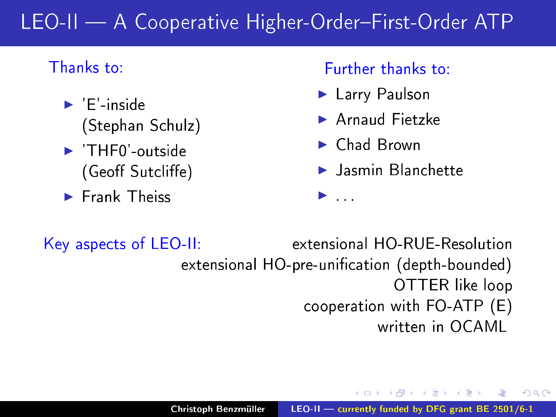#### LEO-II - A Cooperative Higher-Order-First-Order ATP LEO-II A Cooperative Higher-OrderFirst-Order ATP

### Thanks to:

- $\blacktriangleright$  'E'-inside (Stephan S
hulz)
- $\blacktriangleright$  'THF0' outside (Geoff Sutcliffe)
- Frank Theiss

#### Further thanks to:

- Larry Paulson Larry Paulson
- ▶ Arnaud Fietzke
- ► Chad Brown

◮

▶ Jasmin Blanchette

Key aspects of  $LEO-II$ : extensional HO-RUE-Resolution extensional HO-pre-unification (depth-bounded) OTTER like loop ooperation with FO-ATP (E) written in OCAMI

 $2Q$ 

4 E 3 4 E 3